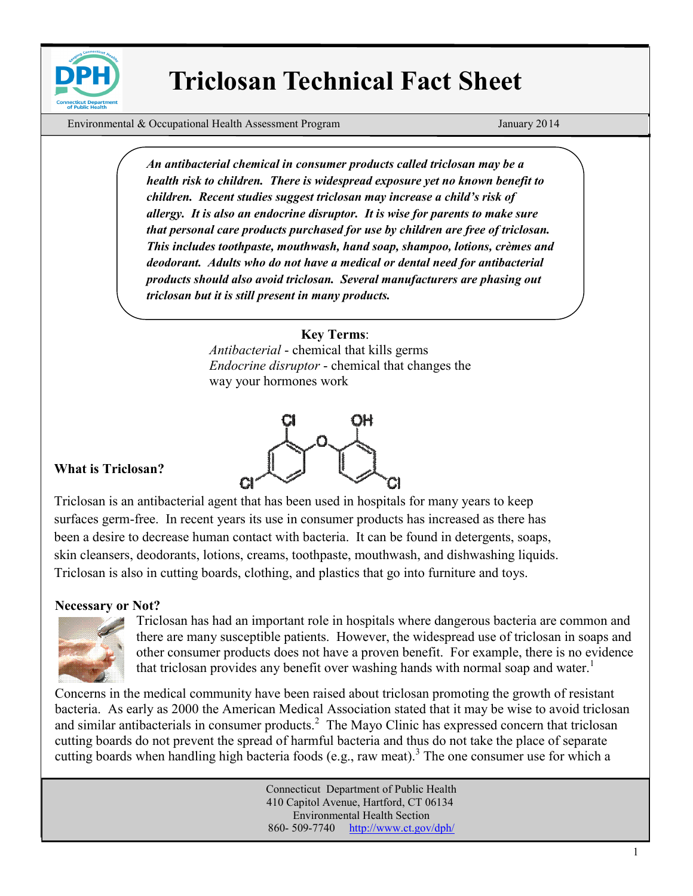

# **Triclosan Technical Fact Sheet**

Environmental & Occupational Health Assessment Program January 2014

*An antibacterial chemical in consumer products called triclosan may be a health risk to children. There is widespread exposure yet no known benefit to children. Recent studies suggest triclosan may increase a child's risk of allergy. It is also an endocrine disruptor. It is wise for parents to make sure that personal care products purchased for use by children are free of triclosan. This includes toothpaste, mouthwash, hand soap, shampoo, lotions, crèmes and deodorant. Adults who do not have a medical or dental need for antibacterial products should also avoid triclosan. Several manufacturers are phasing out triclosan but it is still present in many products.*

### **Key Terms**:

*Antibacterial* - chemical that kills germs *Endocrine disruptor* - chemical that changes the way your hormones work



### **What is Triclosan?**

Triclosan is an antibacterial agent that has been used in hospitals for many years to keep surfaces germ-free. In recent years its use in consumer products has increased as there has been a desire to decrease human contact with bacteria. It can be found in detergents, soaps, skin cleansers, deodorants, lotions, creams, toothpaste, mouthwash, and dishwashing liquids. Triclosan is also in cutting boards, clothing, and plastics that go into furniture and toys.

#### **Necessary or Not?**



Triclosan has had an important role in hospitals where dangerous bacteria are common and there are many susceptible patients. However, the widespread use of triclosan in soaps and other consumer products does not have a proven benefit. For example, there is no evidence that triclosan provides any benefit over washing hands with normal soap and water.<sup>1</sup>

Concerns in the medical community have been raised about triclosan promoting the growth of resistant bacteria. As early as 2000 the American Medical Association stated that it may be wise to avoid triclosan and similar antibacterials in consumer products.<sup>2</sup> The Mayo Clinic has expressed concern that triclosan cutting boards do not prevent the spread of harmful bacteria and thus do not take the place of separate cutting boards when handling high bacteria foods (e.g., raw meat).<sup>3</sup> The one consumer use for which a

> Connecticut Department of Public Health 410 Capitol Avenue, Hartford, CT 06134 [Environmental Health Section](http://www.ct.gov/dph/taxonomy/ct_taxonomy.asp?DLN=46944) 860- 509-7740 <http://www.ct.gov/dph/>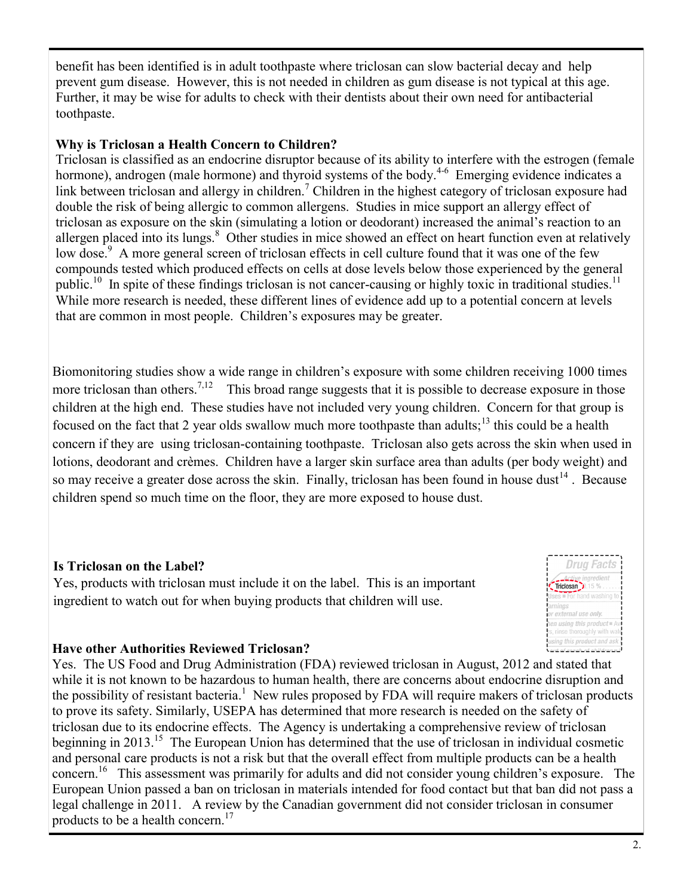benefit has been identified is in adult toothpaste where triclosan can slow bacterial decay and help prevent gum disease. However, this is not needed in children as gum disease is not typical at this age. Further, it may be wise for adults to check with their dentists about their own need for antibacterial toothpaste.

# **Why is Triclosan a Health Concern to Children?**

allergen placed into its lungs.<sup>8</sup> Other studies in mice showed an effect on heart function even at relatively Triclosan is classified as an endocrine disruptor because of its ability to interfere with the estrogen (female hormone), androgen (male hormone) and thyroid systems of the body.<sup>4-6</sup> Emerging evidence indicates a link between triclosan and allergy in children.<sup>7</sup> Children in the highest category of triclosan exposure had double the risk of being allergic to common allergens. Studies in mice support an allergy effect of triclosan as exposure on the skin (simulating a lotion or deodorant) increased the animal's reaction to an low dose.<sup>9</sup> A more general screen of triclosan effects in cell culture found that it was one of the few compounds tested which produced effects on cells at dose levels below those experienced by the general public.<sup>10</sup> In spite of these findings triclosan is not cancer-causing or highly toxic in traditional studies.<sup>11</sup> While more research is needed, these different lines of evidence add up to a potential concern at levels that are common in most people. Children's exposures may be greater.

Biomonitoring studies show a wide range in children's exposure with some children receiving 1000 times more triclosan than others.<sup>7,12</sup> This broad range suggests that it is possible to decrease exposure in those children at the high end. These studies have not included very young children. Concern for that group is focused on the fact that 2 year olds swallow much more toothpaste than adults;<sup>13</sup> this could be a health concern if they are using triclosan-containing toothpaste. Triclosan also gets across the skin when used in lotions, deodorant and crèmes. Children have a larger skin surface area than adults (per body weight) and so may receive a greater dose across the skin. Finally, triclosan has been found in house dust<sup>14</sup>. Because children spend so much time on the floor, they are more exposed to house dust.

# **Is Triclosan on the Label?**

Yes, products with triclosan must include it on the label. This is an important ingredient to watch out for when buying products that children will use.



# **Have other Authorities Reviewed Triclosan?**

Yes. The US Food and Drug Administration (FDA) reviewed triclosan in August, 2012 and stated that while it is not known to be hazardous to human health, there are concerns about endocrine disruption and the possibility of resistant bacteria.<sup>1</sup> New rules proposed by FDA will require makers of triclosan products to prove its safety. Similarly, USEPA has determined that more research is needed on the safety of triclosan due to its endocrine effects. The Agency is undertaking a comprehensive review of triclosan beginning in 2013.<sup>15</sup> The European Union has determined that the use of triclosan in individual cosmetic and personal care products is not a risk but that the overall effect from multiple products can be a health concern.<sup>16</sup> This assessment was primarily for adults and did not consider young children's exposure. The European Union passed a ban on triclosan in materials intended for food contact but that ban did not pass a legal challenge in 2011. A review by the Canadian government did not consider triclosan in consumer products to be a health concern.<sup>17</sup>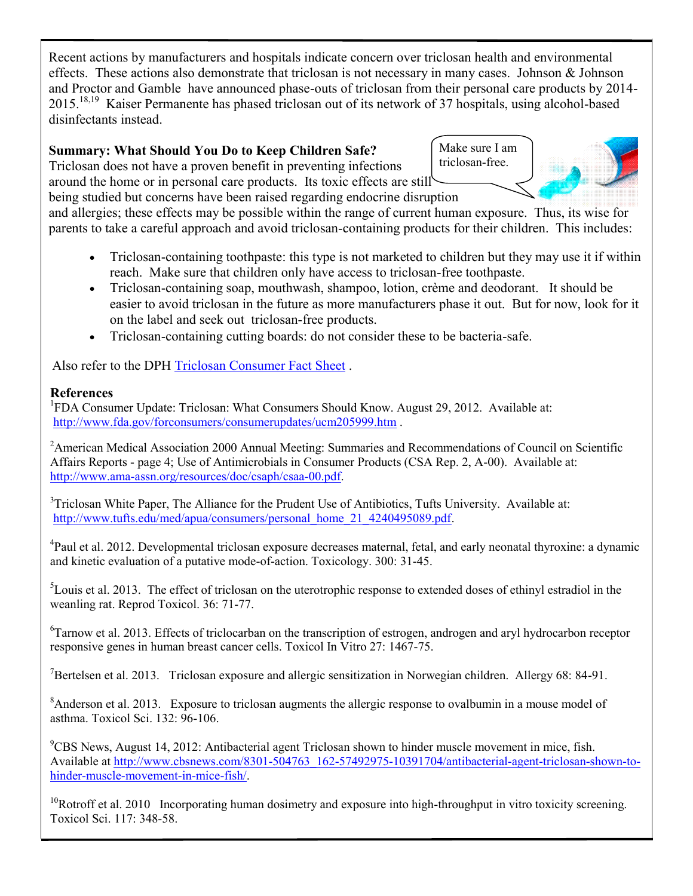Recent actions by manufacturers and hospitals indicate concern over triclosan health and environmental effects. These actions also demonstrate that triclosan is not necessary in many cases. Johnson & Johnson and Proctor and Gamble have announced phase-outs of triclosan from their personal care products by 2014- 2015.<sup>18,19</sup> Kaiser Permanente has phased triclosan out of its network of 37 hospitals, using alcohol-based disinfectants instead.

# **Summary: What Should You Do to Keep Children Safe?**

Triclosan does not have a proven benefit in preventing infections around the home or in personal care products. Its toxic effects are still being studied but concerns have been raised regarding endocrine disruption

Make sure I am triclosan-free.



and allergies; these effects may be possible within the range of current human exposure. Thus, its wise for parents to take a careful approach and avoid triclosan-containing products for their children. This includes:

- Triclosan-containing toothpaste: this type is not marketed to children but they may use it if within reach. Make sure that children only have access to triclosan-free toothpaste.
- Triclosan-containing soap, mouthwash, shampoo, lotion, crème and deodorant. It should be easier to avoid triclosan in the future as more manufacturers phase it out. But for now, look for it on the label and seek out triclosan-free products.
- Triclosan-containing cutting boards: do not consider these to be bacteria-safe.

Also refer to the DPH [Triclosan Consumer Fact Sheet](http://www.ct.gov/dph/lib/dph/environmental_health/eoha/pdf/triclosan_consumer_fact_sheet.pdf) .

# **References**

<sup>1</sup>FDA Consumer Update: Triclosan: What Consumers Should Know. August 29, 2012. Available at: <http://www.fda.gov/forconsumers/consumerupdates/ucm205999.htm> .

<sup>2</sup> American Medical Association 2000 Annual Meeting: Summaries and Recommendations of Council on Scientific Affairs Reports - page 4; Use of Antimicrobials in Consumer Products (CSA Rep. 2, A-00). Available at: http://www.ama-[assn.org/resources/doc/csaph/csaa](http://www.ama-assn.org/resources/doc/csaph/csaa-00.pdf)-00.pdf.

<sup>3</sup>Triclosan White Paper, The Alliance for the Prudent Use of Antibiotics, Tufts University. Available at: http://www.tufts.edu/med/apua/consumers/personal\_home\_21\_4240495089.pdf.

<sup>4</sup>Paul et al. 2012. Developmental triclosan exposure decreases maternal, fetal, and early neonatal thyroxine: a dynamic and kinetic evaluation of a putative mode-of-action. Toxicology. 300: 31-45.

<sup>5</sup>Louis et al. 2013. The effect of triclosan on the uterotrophic response to extended doses of ethinyl estradiol in the weanling rat. Reprod Toxicol. 36: 71-77.

<sup>6</sup>Tarnow et al. 2013. Effects of triclocarban on the transcription of estrogen, androgen and aryl hydrocarbon receptor responsive genes in human breast cancer cells. Toxicol In Vitro 27: 1467-75.

<sup>7</sup>Bertelsen et al. 2013. Triclosan exposure and allergic sensitization in Norwegian children. Allergy 68: 84-91.

<sup>8</sup>Anderson et al. 2013. Exposure to triclosan augments the allergic response to ovalbumin in a mouse model of asthma. Toxicol Sci. 132: 96-106.

<sup>9</sup>CBS News, August 14, 2012: Antibacterial agent Triclosan shown to hinder muscle movement in mice, fish. Available at [http://www.cbsnews.com/8301](http://www.cbsnews.com/8301-504763_162-57492975-10391704/antibacterial-agent-triclosan-shown-to-hinder-muscle-movement-in-mice-fish/)-504763\_162-57492975-10391704/antibacterial-agent-triclosan-shown-tohinder-muscle-[movement](http://www.cbsnews.com/8301-504763_162-57492975-10391704/antibacterial-agent-triclosan-shown-to-hinder-muscle-movement-in-mice-fish/)-in-mice-fish/.

 $10R$ otroff et al. 2010 Incorporating human dosimetry and exposure into high-throughput in vitro toxicity screening. Toxicol Sci. 117: 348-58.